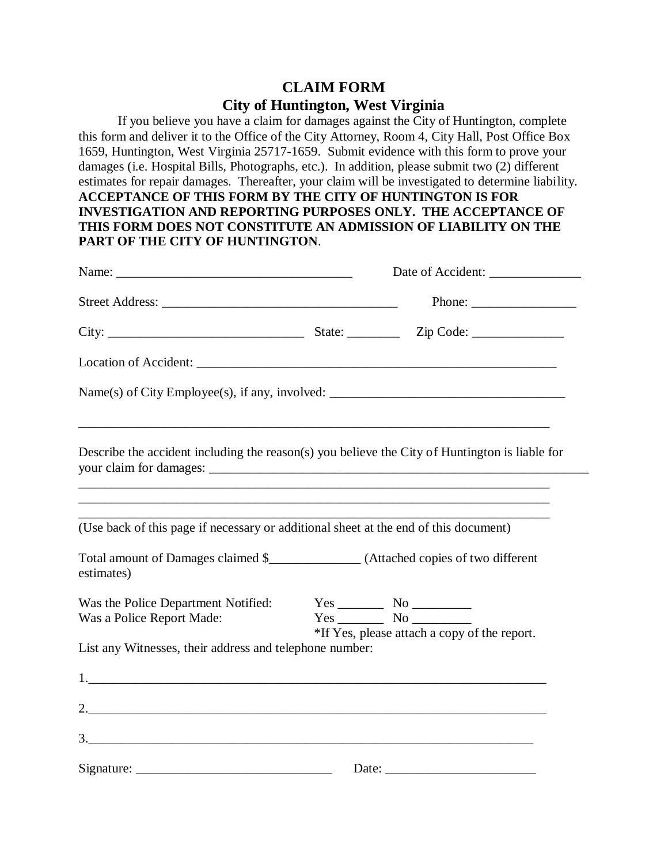## **CLAIM FORM**

## **City of Huntington, West Virginia**

If you believe you have a claim for damages against the City of Huntington, complete this form and deliver it to the Office of the City Attorney, Room 4, City Hall, Post Office Box 1659, Huntington, West Virginia 25717-1659. Submit evidence with this form to prove your damages (i.e. Hospital Bills, Photographs, etc.). In addition, please submit two (2) different estimates for repair damages. Thereafter, your claim will be investigated to determine liability. **ACCEPTANCE OF THIS FORM BY THE CITY OF HUNTINGTON IS FOR INVESTIGATION AND REPORTING PURPOSES ONLY. THE ACCEPTANCE OF THIS FORM DOES NOT CONSTITUTE AN ADMISSION OF LIABILITY ON THE PART OF THE CITY OF HUNTINGTON**.

|                                                                                                                                                                                     |  | Phone: $\frac{1}{\sqrt{1-\frac{1}{2}}\cdot\frac{1}{2}}$ |  |
|-------------------------------------------------------------------------------------------------------------------------------------------------------------------------------------|--|---------------------------------------------------------|--|
|                                                                                                                                                                                     |  |                                                         |  |
|                                                                                                                                                                                     |  |                                                         |  |
|                                                                                                                                                                                     |  |                                                         |  |
| Describe the accident including the reason(s) you believe the City of Huntington is liable for<br>,我们也不能在这里的时候,我们也不能在这里的时候,我们也不能会在这里的时候,我们也不能会在这里的时候,我们也不能会在这里的时候,我们也不能会在这里的时候,我们也不 |  |                                                         |  |
| (Use back of this page if necessary or additional sheet at the end of this document)                                                                                                |  |                                                         |  |
| Total amount of Damages claimed \$________________ (Attached copies of two different<br>estimates)                                                                                  |  |                                                         |  |
| Was the Police Department Notified:<br>Was a Police Report Made:                                                                                                                    |  | *If Yes, please attach a copy of the report.            |  |
| List any Witnesses, their address and telephone number:                                                                                                                             |  |                                                         |  |
|                                                                                                                                                                                     |  |                                                         |  |
| 2.                                                                                                                                                                                  |  |                                                         |  |
|                                                                                                                                                                                     |  |                                                         |  |
|                                                                                                                                                                                     |  |                                                         |  |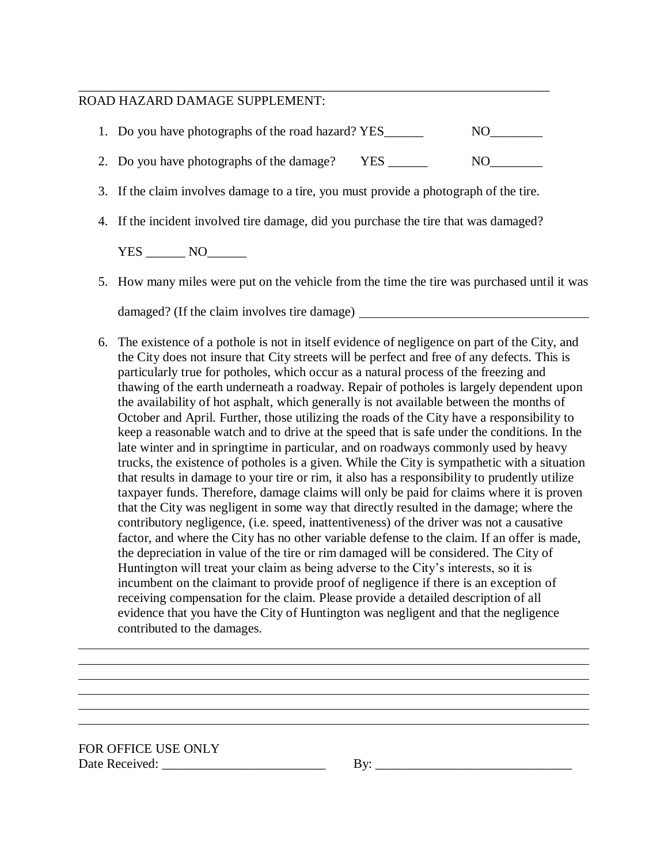## ROAD HAZARD DAMAGE SUPPLEMENT:

| 1. Do you have photographs of the road hazard? YES                                    | N() |
|---------------------------------------------------------------------------------------|-----|
| 2. Do you have photographs of the damage?                                             | NO. |
| 3. If the claim involves damage to a tire, you must provide a photograph of the tire. |     |

\_\_\_\_\_\_\_\_\_\_\_\_\_\_\_\_\_\_\_\_\_\_\_\_\_\_\_\_\_\_\_\_\_\_\_\_\_\_\_\_\_\_\_\_\_\_\_\_\_\_\_\_\_\_\_\_\_\_\_\_\_\_\_\_\_\_\_\_\_\_\_\_

4. If the incident involved tire damage, did you purchase the tire that was damaged?

YES \_\_\_\_\_\_\_\_ NO\_\_\_\_\_\_\_

5. How many miles were put on the vehicle from the time the tire was purchased until it was

damaged? (If the claim involves tire damage)

6. The existence of a pothole is not in itself evidence of negligence on part of the City, and the City does not insure that City streets will be perfect and free of any defects. This is particularly true for potholes, which occur as a natural process of the freezing and thawing of the earth underneath a roadway. Repair of potholes is largely dependent upon the availability of hot asphalt, which generally is not available between the months of October and April. Further, those utilizing the roads of the City have a responsibility to keep a reasonable watch and to drive at the speed that is safe under the conditions. In the late winter and in springtime in particular, and on roadways commonly used by heavy trucks, the existence of potholes is a given. While the City is sympathetic with a situation that results in damage to your tire or rim, it also has a responsibility to prudently utilize taxpayer funds. Therefore, damage claims will only be paid for claims where it is proven that the City was negligent in some way that directly resulted in the damage; where the contributory negligence, (i.e. speed, inattentiveness) of the driver was not a causative factor, and where the City has no other variable defense to the claim. If an offer is made, the depreciation in value of the tire or rim damaged will be considered. The City of Huntington will treat your claim as being adverse to the City's interests, so it is incumbent on the claimant to provide proof of negligence if there is an exception of receiving compensation for the claim. Please provide a detailed description of all evidence that you have the City of Huntington was negligent and that the negligence contributed to the damages.

FOR OFFICE USE ONLY Date Received: \_\_\_\_\_\_\_\_\_\_\_\_\_\_\_\_\_\_\_\_\_\_\_\_\_ By: \_\_\_\_\_\_\_\_\_\_\_\_\_\_\_\_\_\_\_\_\_\_\_\_\_\_\_\_\_\_